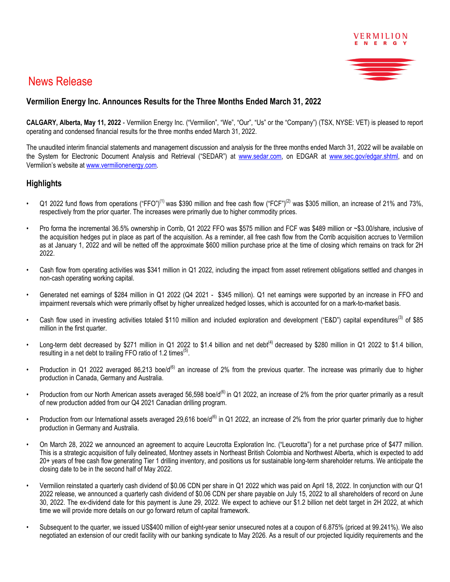

# News Release

# **Vermilion Energy Inc. Announces Results for the Three Months Ended March 31, 2022**

**CALGARY, Alberta, May 11, 2022** - Vermilion Energy Inc. ("Vermilion", "We", "Our", "Us" or the "Company") (TSX, NYSE: VET) is pleased to report operating and condensed financial results for the three months ended March 31, 2022.

The unaudited interim financial statements and management discussion and analysis for the three months ended March 31, 2022 will be available on the System for Electronic Document Analysis and Retrieval ("SEDAR") at www.sedar.com, on EDGAR at www.sec.gov/edgar.shtml, and on Vermilion's website at www.vermilionenergy.com.

# **Highlights**

- Q1 2022 fund flows from operations ("FFO")<sup>(1)</sup> was \$390 million and free cash flow ("FCF")<sup>(2)</sup> was \$305 million, an increase of 21% and 73%. respectively from the prior quarter. The increases were primarily due to higher commodity prices.
- Pro forma the incremental 36.5% ownership in Corrib, Q1 2022 FFO was \$575 million and FCF was \$489 million or ~\$3.00/share, inclusive of the acquisition hedges put in place as part of the acquisition. As a reminder, all free cash flow from the Corrib acquisition accrues to Vermilion as at January 1, 2022 and will be netted off the approximate \$600 million purchase price at the time of closing which remains on track for 2H 2022.
- Cash flow from operating activities was \$341 million in Q1 2022, including the impact from asset retirement obligations settled and changes in non-cash operating working capital.
- Generated net earnings of \$284 million in Q1 2022 (Q4 2021 \$345 million). Q1 net earnings were supported by an increase in FFO and impairment reversals which were primarily offset by higher unrealized hedged losses, which is accounted for on a mark-to-market basis.
- Cash flow used in investing activities totaled \$110 million and included exploration and development ("E&D") capital expenditures<sup>(3)</sup> of \$85 million in the first quarter.
- Long-term debt decreased by \$271 million in Q1 2022 to \$1.4 billion and net debt<sup>(4)</sup> decreased by \$280 million in Q1 2022 to \$1.4 billion. resulting in a net debt to trailing FFO ratio of 1.2 times<sup>(5)</sup>.
- Production in Q1 2022 averaged 86,213 boe/d<sup>(6)</sup> an increase of 2% from the previous quarter. The increase was primarily due to higher production in Canada, Germany and Australia.
- Production from our North American assets averaged 56,598 boe/d<sup>(6)</sup> in Q1 2022, an increase of 2% from the prior quarter primarily as a result of new production added from our Q4 2021 Canadian drilling program.
- Production from our International assets averaged 29,616 boe/ $d^{(6)}$  in Q1 2022, an increase of 2% from the prior quarter primarily due to higher production in Germany and Australia.
- On March 28, 2022 we announced an agreement to acquire Leucrotta Exploration Inc. ("Leucrotta") for a net purchase price of \$477 million. This is a strategic acquisition of fully delineated, Montney assets in Northeast British Colombia and Northwest Alberta, which is expected to add 20+ years of free cash flow generating Tier 1 drilling inventory, and positions us for sustainable long-term shareholder returns. We anticipate the closing date to be in the second half of May 2022.
- Vermilion reinstated a quarterly cash dividend of \$0.06 CDN per share in Q1 2022 which was paid on April 18, 2022. In conjunction with our Q1 2022 release, we announced a quarterly cash dividend of \$0.06 CDN per share payable on July 15, 2022 to all shareholders of record on June 30, 2022. The ex-dividend date for this payment is June 29, 2022. We expect to achieve our \$1.2 billion net debt target in 2H 2022, at which time we will provide more details on our go forward return of capital framework.
- Subsequent to the quarter, we issued US\$400 million of eight-year senior unsecured notes at a coupon of 6.875% (priced at 99.241%). We also negotiated an extension of our credit facility with our banking syndicate to May 2026. As a result of our projected liquidity requirements and the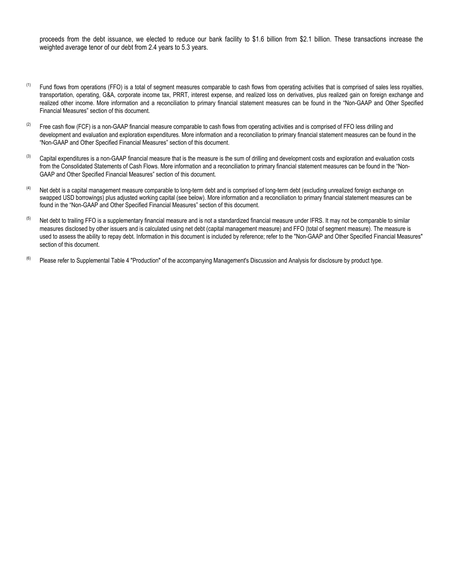proceeds from the debt issuance, we elected to reduce our bank facility to \$1.6 billion from \$2.1 billion. These transactions increase the weighted average tenor of our debt from 2.4 years to 5.3 years.

- $<sup>(1)</sup>$  Fund flows from operations (FFO) is a total of segment measures comparable to cash flows from operating activities that is comprised of sales less royalties,</sup> transportation, operating, G&A, corporate income tax, PRRT, interest expense, and realized loss on derivatives, plus realized gain on foreign exchange and realized other income. More information and a reconciliation to primary financial statement measures can be found in the "Non-GAAP and Other Specified Financial Measures" section of this document.
- $(2)$  Free cash flow (FCF) is a non-GAAP financial measure comparable to cash flows from operating activities and is comprised of FFO less drilling and development and evaluation and exploration expenditures. More information and a reconciliation to primary financial statement measures can be found in the "Non-GAAP and Other Specified Financial Measures" section of this document.
- $^{(3)}$  Capital expenditures is a non-GAAP financial measure that is the measure is the sum of drilling and development costs and exploration and evaluation costs from the Consolidated Statements of Cash Flows. More information and a reconciliation to primary financial statement measures can be found in the "Non-GAAP and Other Specified Financial Measures" section of this document.
- $(4)$  Net debt is a capital management measure comparable to long-term debt and is comprised of long-term debt (excluding unrealized foreign exchange on swapped USD borrowings) plus adjusted working capital (see below). More information and a reconciliation to primary financial statement measures can be found in the "Non-GAAP and Other Specified Financial Measures" section of this document.
- <sup>(5)</sup> Net debt to trailing FFO is a supplementary financial measure and is not a standardized financial measure under IFRS. It may not be comparable to similar measures disclosed by other issuers and is calculated using net debt (capital management measure) and FFO (total of segment measure). The measure is used to assess the ability to repay debt. Information in this document is included by reference; refer to the "Non-GAAP and Other Specified Financial Measures" section of this document.
- $(6)$  Please refer to Supplemental Table 4 "Production" of the accompanying Management's Discussion and Analysis for disclosure by product type.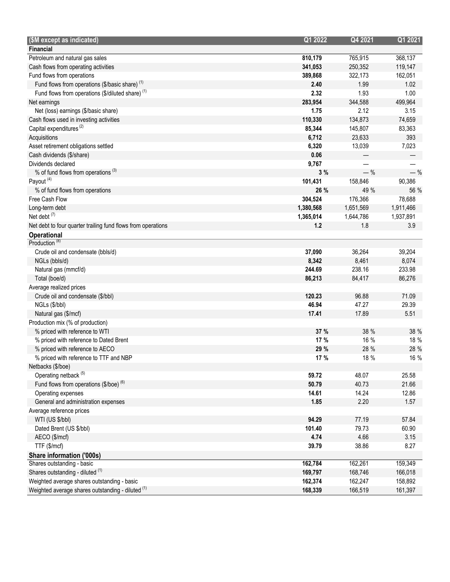| (\$M except as indicated)                                    | Q1 2022   | Q4 2021   | Q1 2021   |
|--------------------------------------------------------------|-----------|-----------|-----------|
| <b>Financial</b>                                             |           |           |           |
| Petroleum and natural gas sales                              | 810,179   | 765,915   | 368,137   |
| Cash flows from operating activities                         | 341,053   | 250,352   | 119,147   |
| Fund flows from operations                                   | 389,868   | 322,173   | 162,051   |
| Fund flows from operations (\$/basic share) $(1)$            | 2.40      | 1.99      | 1.02      |
| Fund flows from operations (\$/diluted share) <sup>(1)</sup> | 2.32      | 1.93      | 1.00      |
| Net earnings                                                 | 283,954   | 344,588   | 499,964   |
| Net (loss) earnings (\$/basic share)                         | 1.75      | 2.12      | 3.15      |
| Cash flows used in investing activities                      | 110,330   | 134,873   | 74,659    |
| Capital expenditures <sup>(2)</sup>                          | 85,344    | 145,807   | 83,363    |
| Acquisitions                                                 | 6,712     | 23,633    | 393       |
| Asset retirement obligations settled                         | 6,320     | 13,039    | 7,023     |
| Cash dividends (\$/share)                                    | 0.06      |           |           |
| Dividends declared                                           | 9,767     |           |           |
| % of fund flows from operations <sup>(3)</sup>               | 3%        | $-$ %     | $-$ %     |
| Payout <sup>(4)</sup>                                        | 101,431   | 158,846   | 90,386    |
| % of fund flows from operations                              | 26 %      | 49 %      | 56 %      |
| Free Cash Flow                                               | 304,524   | 176,366   | 78,688    |
| Long-term debt                                               | 1,380,568 | 1,651,569 | 1,911,466 |
| Net debt $(7)$                                               | 1,365,014 | 1,644,786 | 1,937,891 |
| Net debt to four quarter trailing fund flows from operations | 1.2       | 1.8       | 3.9       |
| Operational                                                  |           |           |           |
| Production <sup>(8)</sup>                                    |           |           |           |
| Crude oil and condensate (bbls/d)                            | 37,090    | 36,264    | 39,204    |
| NGLs (bbls/d)                                                | 8,342     | 8,461     | 8,074     |
| Natural gas (mmcf/d)                                         | 244.69    | 238.16    | 233.98    |
| Total (boe/d)                                                | 86,213    | 84,417    | 86,276    |
| Average realized prices                                      |           |           |           |
| Crude oil and condensate (\$/bbl)                            | 120.23    | 96.88     | 71.09     |
| NGLs (\$/bbl)                                                | 46.94     | 47.27     | 29.39     |
| Natural gas (\$/mcf)                                         | 17.41     | 17.89     | 5.51      |
| Production mix (% of production)                             |           |           |           |
| % priced with reference to WTI                               | 37 %      | 38 %      | 38 %      |
| % priced with reference to Dated Brent                       | 17 %      | 16 %      | 18 %      |
| % priced with reference to AECO                              | 29 %      | 28 %      | 28 %      |
| % priced with reference to TTF and NBP                       | 17 %      | 18 %      | 16 %      |
| Netbacks (\$/boe)                                            |           |           |           |
| Operating netback <sup>(5)</sup>                             | 59.72     | 48.07     | 25.58     |
| Fund flows from operations $(\$/boe)$ <sup>(6)</sup>         | 50.79     | 40.73     | 21.66     |
| Operating expenses                                           | 14.61     | 14.24     | 12.86     |
| General and administration expenses                          | 1.85      | 2.20      | 1.57      |
| Average reference prices                                     |           |           |           |
| WTI (US \$/bbl)                                              | 94.29     | 77.19     | 57.84     |
| Dated Brent (US \$/bbl)                                      | 101.40    | 79.73     | 60.90     |
| AECO (\$/mcf)                                                | 4.74      | 4.66      | 3.15      |
| TTF (\$/mcf)                                                 | 39.79     | 38.86     | 8.27      |
| Share information ('000s)                                    |           |           |           |
| Shares outstanding - basic                                   | 162,784   | 162,261   | 159,349   |
| Shares outstanding - diluted (1)                             | 169,797   | 168,746   | 166,018   |
| Weighted average shares outstanding - basic                  | 162,374   | 162,247   | 158,892   |
| Weighted average shares outstanding - diluted (1)            | 168,339   | 166,519   | 161,397   |
|                                                              |           |           |           |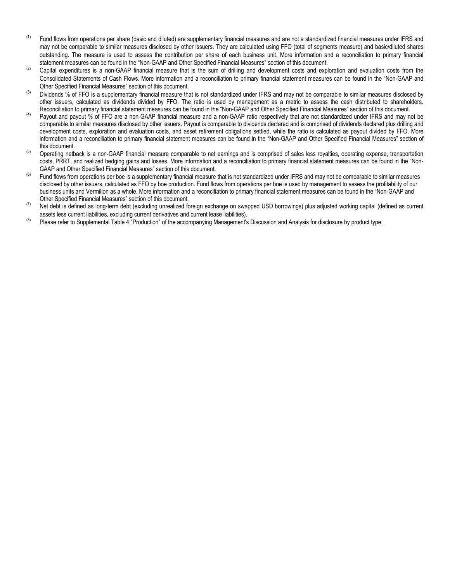- **(1)** Fund flows from operations per share (basic and diluted) are supplementary financial measures and are not a standardized financial measures under IFRS and may not be comparable to similar measures disclosed by other issuers. They are calculated using FFO (total of segments measure) and basic/diluted shares outstanding. The measure is used to assess the contribution per share of each business unit. More information and a reconciliation to primary financial statement measures can be found in the "Non-GAAP and Other Specified Financial Measures" section of this document.
- $(2)$  Capital expenditures is a non-GAAP financial measure that is the sum of drilling and development costs and exploration and evaluation costs from the Consolidated Statements of Cash Flows. More information and a reconciliation to primary financial statement measures can be found in the "Non-GAAP and Other Specified Financial Measures" section of this document.
- **(3)** Dividends % of FFO is a supplementary financial measure that is not standardized under IFRS and may not be comparable to similar measures disclosed by other issuers, calculated as dividends divided by FFO. The ratio is used by management as a metric to assess the cash distributed to shareholders. Reconciliation to primary financial statement measures can be found in the "Non-GAAP and Other Specified Financial Measures" section of this document.
- **(4)** Payout and payout % of FFO are a non-GAAP financial measure and a non-GAAP ratio respectively that are not standardized under IFRS and may not be comparable to similar measures disclosed by other issuers. Payout is comparable to dividends declared and is comprised of dividends declared plus drilling and development costs, exploration and evaluation costs, and asset retirement obligations settled, while the ratio is calculated as payout divided by FFO. More information and a reconciliation to primary financial statement measures can be found in the "Non-GAAP and Other Specified Financial Measures" section of this document.
- (5) Operating netback is a non-GAAP financial measure comparable to net earnings and is comprised of sales less royalties, operating expense, transportation costs, PRRT, and realized hedging gains and losses. More information and a reconciliation to primary financial statement measures can be found in the "Non-GAAP and Other Specified Financial Measures" section of this document.
- **(6)** Fund flows from operations per boe is a supplementary financial measure that is not standardized under IFRS and may not be comparable to similar measures disclosed by other issuers, calculated as FFO by boe production. Fund flows from operations per boe is used by management to assess the profitability of our business units and Vermilion as a whole. More information and a reconciliation to primary financial statement measures can be found in the "Non-GAAP and Other Specified Financial Measures" section of this document.
- (7) Net debt is defined as long-term debt (excluding unrealized foreign exchange on swapped USD borrowings) plus adjusted working capital (defined as current assets less current liabilities, excluding current derivatives and current lease liabilities).
- <sup>(8)</sup> Please refer to Supplemental Table 4 "Production" of the accompanying Management's Discussion and Analysis for disclosure by product type.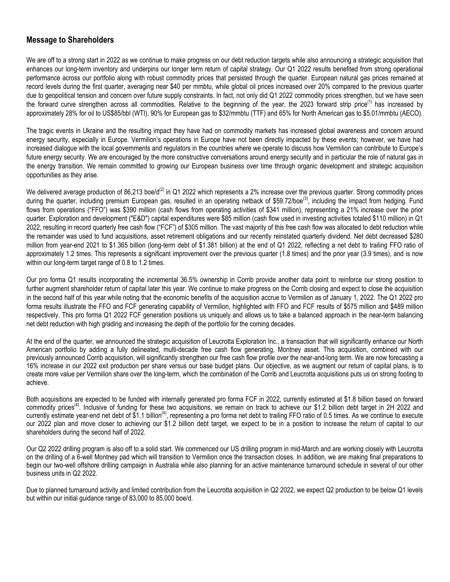## **Message to Shareholders**

We are off to a strong start in 2022 as we continue to make progress on our debt reduction targets while also announcing a strategic acquisition that enhances our long-term inventory and underpins our longer term return of capital strategy. Our Q1 2022 results benefited from strong operational performance across our portfolio along with robust commodity prices that persisted through the quarter. European natural gas prices remained at record levels during the first quarter, averaging near \$40 per mmbtu, while global oil prices increased over 20% compared to the previous quarter due to geopolitical tension and concern over future supply constraints. In fact, not only did Q1 2022 commodity prices strengthen, but we have seen the forward curve strengthen across all commodities. Relative to the beginning of the year, the 2023 forward strip price<sup>(1)</sup> has increased by approximately 28% for oil to US\$85/bbl (WTI), 90% for European gas to \$32/mmbtu (TTF) and 65% for North American gas to \$5.01/mmbtu (AECO).

The tragic events in Ukraine and the resulting impact they have had on commodity markets has increased global awareness and concern around energy security, especially in Europe. Vermilion's operations in Europe have not been directly impacted by these events; however, we have had increased dialogue with the local governments and regulators in the countries where we operate to discuss how Vermilion can contribute to Europe's future energy security. We are encouraged by the more constructive conversations around energy security and in particular the role of natural gas in the energy transition. We remain committed to growing our European business over time through organic development and strategic acquisition opportunities as they arise.

We delivered average production of 86,213 boe/d<sup>(2)</sup> in Q1 2022 which represents a 2% increase over the previous quarter. Strong commodity prices during the quarter, including premium European gas, resulted in an operating netback of \$59.72/boe<sup>(3)</sup>, including the impact from hedging. Fund flows from operations ("FFO") was \$390 million (cash flows from operating activities of \$341 million), representing a 21% increase over the prior quarter. Exploration and development ("E&D") capital expenditures were \$85 million (cash flow used in investing activities totaled \$110 million) in Q1 2022, resulting in record quarterly free cash flow ("FCF") of \$305 million. The vast majority of this free cash flow was allocated to debt reduction while the remainder was used to fund acquisitions, asset retirement obligations and our recently reinstated quarterly dividend. Net debt decreased \$280 million from year-end 2021 to \$1.365 billion (long-term debt of \$1.381 billion) at the end of Q1 2022, reflecting a net debt to trailing FFO ratio of approximately 1.2 times. This represents a significant improvement over the previous quarter (1.8 times) and the prior year (3.9 times), and is now within our long-term target range of 0.8 to 1.2 times.

Our pro forma Q1 results incorporating the incremental 36.5% ownership in Corrib provide another data point to reinforce our strong position to further augment shareholder return of capital later this year. We continue to make progress on the Corrib closing and expect to close the acquisition in the second half of this year while noting that the economic benefits of the acquisition accrue to Vermilion as of January 1, 2022. The Q1 2022 pro forma results illustrate the FFO and FCF generating capability of Vermilion, highlighted with FFO and FCF results of \$575 million and \$489 million respectively. This pro forma Q1 2022 FCF generation positions us uniquely and allows us to take a balanced approach in the near-term balancing net debt reduction with high grading and increasing the depth of the portfolio for the coming decades.

At the end of the quarter, we announced the strategic acquisition of Leucrotta Exploration Inc., a transaction that will significantly enhance our North American portfolio by adding a fully delineated, multi-decade free cash flow generating, Montney asset. This acquisition, combined with our previously announced Corrib acquisition, will significantly strengthen our free cash flow profile over the near-and-long term. We are now forecasting a 16% increase in our 2022 exit production per share versus our base budget plans. Our objective, as we augment our return of capital plans, is to create more value per Vermilion share over the long-term, which the combination of the Corrib and Leucrotta acquisitions puts us on strong footing to achieve.

Both acquisitions are expected to be funded with internally generated pro forma FCF in 2022, currently estimated at \$1.8 billion based on forward commodity prices<sup>(4)</sup>. Inclusive of funding for these two acquisitions, we remain on track to achieve our \$1.2 billion debt target in 2H 2022 and currently estimate year-end net debt of \$1.1 billion<sup>(4)</sup>, representing a pro forma net debt to trailing FFO ratio of 0.5 times. As we continue to execute our 2022 plan and move closer to achieving our \$1.2 billion debt target, we expect to be in a position to increase the return of capital to our shareholders during the second half of 2022.

Our Q2 2022 drilling program is also off to a solid start. We commenced our US drilling program in mid-March and are working closely with Leucrotta on the drilling of a 6-well Montney pad which will transition to Vermilion once the transaction closes. In addition, we are making final preparations to begin our two-well offshore drilling campaign in Australia while also planning for an active maintenance turnaround schedule in several of our other business units in Q2 2022.

Due to planned turnaround activity and limited contribution from the Leucrotta acquisition in Q2 2022, we expect Q2 production to be below Q1 levels but within our initial guidance range of 83,000 to 85,000 boe/d.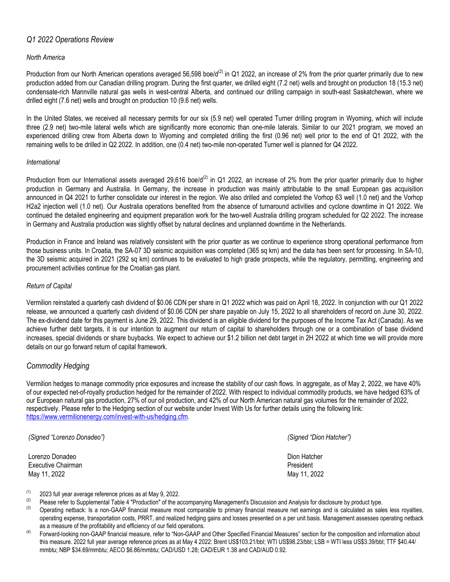## *Q1 2022 Operations Review*

#### *North America*

Production from our North American operations averaged 56,598 boe/d<sup>(2)</sup> in Q1 2022, an increase of 2% from the prior quarter primarily due to new production added from our Canadian drilling program. During the first quarter, we drilled eight (7.2 net) wells and brought on production 18 (15.3 net) condensate-rich Mannville natural gas wells in west-central Alberta, and continued our drilling campaign in south-east Saskatchewan, where we drilled eight (7.6 net) wells and brought on production 10 (9.6 net) wells.

In the United States, we received all necessary permits for our six (5.9 net) well operated Turner drilling program in Wyoming, which will include three (2.9 net) two-mile lateral wells which are significantly more economic than one-mile laterals. Similar to our 2021 program, we moved an experienced drilling crew from Alberta down to Wyoming and completed drilling the first (0.96 net) well prior to the end of Q1 2022, with the remaining wells to be drilled in Q2 2022. In addition, one (0.4 net) two-mile non-operated Turner well is planned for Q4 2022.

#### *International*

Production from our International assets averaged 29,616 boe/d<sup>(2)</sup> in Q1 2022, an increase of 2% from the prior quarter primarily due to higher production in Germany and Australia. In Germany, the increase in production was mainly attributable to the small European gas acquisition announced in Q4 2021 to further consolidate our interest in the region. We also drilled and completed the Vorhop 63 well (1.0 net) and the Vorhop H2a2 injection well (1.0 net). Our Australia operations benefited from the absence of turnaround activities and cyclone downtime in Q1 2022. We continued the detailed engineering and equipment preparation work for the two-well Australia drilling program scheduled for Q2 2022. The increase in Germany and Australia production was slightly offset by natural declines and unplanned downtime in the Netherlands.

Production in France and Ireland was relatively consistent with the prior quarter as we continue to experience strong operational performance from those business units. In Croatia, the SA-07 3D seismic acquisition was completed (365 sq km) and the data has been sent for processing. In SA-10, the 3D seismic acquired in 2021 (292 sq km) continues to be evaluated to high grade prospects, while the regulatory, permitting, engineering and procurement activities continue for the Croatian gas plant.

#### *Return of Capital*

Vermilion reinstated a quarterly cash dividend of \$0.06 CDN per share in Q1 2022 which was paid on April 18, 2022. In conjunction with our Q1 2022 release, we announced a quarterly cash dividend of \$0.06 CDN per share payable on July 15, 2022 to all shareholders of record on June 30, 2022. The ex-dividend date for this payment is June 29, 2022. This dividend is an eligible dividend for the purposes of the Income Tax Act (Canada). As we achieve further debt targets, it is our intention to augment our return of capital to shareholders through one or a combination of base dividend increases, special dividends or share buybacks. We expect to achieve our \$1.2 billion net debt target in 2H 2022 at which time we will provide more details on our go forward return of capital framework.

## *Commodity Hedging*

Vermilion hedges to manage commodity price exposures and increase the stability of our cash flows. In aggregate, as of May 2, 2022, we have 40% of our expected net-of-royalty production hedged for the remainder of 2022. With respect to individual commodity products, we have hedged 63% of our European natural gas production, 27% of our oil production, and 42% of our North American natural gas volumes for the remainder of 2022, respectively. Please refer to the Hedging section of our website under Invest With Us for further details using the following link: [https://www.vermilionenergy.com/invest-with-us/hedging.cfm.](https://www.vermilionenergy.com/invest-with-us/hedging.cfm)

*(Signed "Lorenzo Donadeo") (Signed "Dion Hatcher")* **Lorenzo Donadeo** Dion Hatcher **Dion Hatcher** Dion Hatcher **Dion Hatcher** Dion Hatcher **Dion Hatcher** Executive Chairman **President President** May 11, 2022 **May 11, 2022** May 11, 2022

- (1) 2023 full year average reference prices as at May 9, 2022.
- Please refer to Supplemental Table 4 "Production" of the accompanying Management's Discussion and Analysis for disclosure by product type.
- (3) Operating netback: Is a non-GAAP financial measure most comparable to primary financial measure net earnings and is calculated as sales less royalties, operating expense, transportation costs, PRRT, and realized hedging gains and losses presented on a per unit basis. Management assesses operating netback as a measure of the profitability and efficiency of our field operations.
- Forward-looking non-GAAP financial measure, refer to "Non-GAAP and Other Specified Financial Measures" section for the composition and information about this measure. 2022 full year average reference prices as at May 4 2022: Brent US\$103.21/bbl; WTI US\$98.23/bbl; LSB = WTI less US\$3.39/bbl; TTF \$40.44/ mmbtu; NBP \$34.69/mmbtu; AECO \$6.86/mmbtu; CAD/USD 1.28; CAD/EUR 1.38 and CAD/AUD 0.92.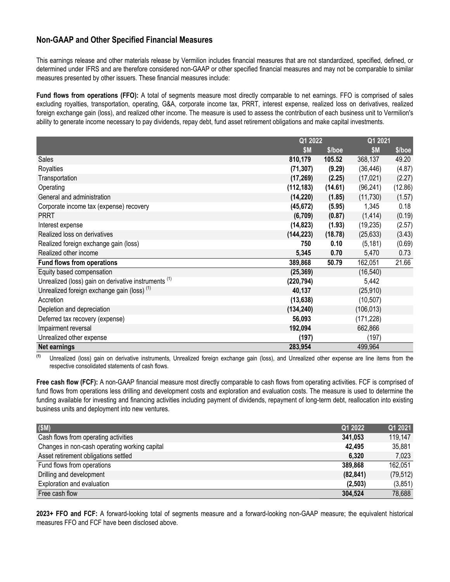# **Non-GAAP and Other Specified Financial Measures**

This earnings release and other materials release by Vermilion includes financial measures that are not standardized, specified, defined, or determined under IFRS and are therefore considered non-GAAP or other specified financial measures and may not be comparable to similar measures presented by other issuers. These financial measures include:

**Fund flows from operations (FFO):** A total of segments measure most directly comparable to net earnings. FFO is comprised of sales excluding royalties, transportation, operating, G&A, corporate income tax, PRRT, interest expense, realized loss on derivatives, realized foreign exchange gain (loss), and realized other income. The measure is used to assess the contribution of each business unit to Vermilion's ability to generate income necessary to pay dividends, repay debt, fund asset retirement obligations and make capital investments.

|                                                                 |            | Q1 2022 |            | Q1 2021  |  |
|-----------------------------------------------------------------|------------|---------|------------|----------|--|
|                                                                 | <b>\$M</b> | \$/boe  | \$M        | $$/$ hoe |  |
| <b>Sales</b>                                                    | 810,179    | 105.52  | 368,137    | 49.20    |  |
| Royalties                                                       | (71, 307)  | (9.29)  | (36, 446)  | (4.87)   |  |
| Transportation                                                  | (17, 269)  | (2.25)  | (17, 021)  | (2.27)   |  |
| Operating                                                       | (112, 183) | (14.61) | (96, 241)  | (12.86)  |  |
| General and administration                                      | (14, 220)  | (1.85)  | (11, 730)  | (1.57)   |  |
| Corporate income tax (expense) recovery                         | (45, 672)  | (5.95)  | 1,345      | 0.18     |  |
| <b>PRRT</b>                                                     | (6, 709)   | (0.87)  | (1, 414)   | (0.19)   |  |
| Interest expense                                                | (14, 823)  | (1.93)  | (19, 235)  | (2.57)   |  |
| Realized loss on derivatives                                    | (144, 223) | (18.78) | (25, 633)  | (3.43)   |  |
| Realized foreign exchange gain (loss)                           | 750        | 0.10    | (5, 181)   | (0.69)   |  |
| Realized other income                                           | 5,345      | 0.70    | 5,470      | 0.73     |  |
| <b>Fund flows from operations</b>                               | 389,868    | 50.79   | 162,051    | 21.66    |  |
| Equity based compensation                                       | (25, 369)  |         | (16, 540)  |          |  |
| Unrealized (loss) gain on derivative instruments <sup>(1)</sup> | (220, 794) |         | 5,442      |          |  |
| Unrealized foreign exchange gain (loss) <sup>(1)</sup>          | 40,137     |         | (25,910)   |          |  |
| Accretion                                                       | (13, 638)  |         | (10, 507)  |          |  |
| Depletion and depreciation                                      | (134, 240) |         | (106, 013) |          |  |
| Deferred tax recovery (expense)                                 | 56,093     |         | (171, 228) |          |  |
| Impairment reversal                                             | 192,094    |         | 662,866    |          |  |
| Unrealized other expense                                        | (197)      |         | (197)      |          |  |
| <b>Net earnings</b>                                             | 283,954    |         | 499,964    |          |  |

**(1)** Unrealized (loss) gain on derivative instruments, Unrealized foreign exchange gain (loss), and Unrealized other expense are line items from the respective consolidated statements of cash flows.

**Free cash flow (FCF):** A non-GAAP financial measure most directly comparable to cash flows from operating activities. FCF is comprised of fund flows from operations less drilling and development costs and exploration and evaluation costs. The measure is used to determine the funding available for investing and financing activities including payment of dividends, repayment of long-term debt, reallocation into existing business units and deployment into new ventures.

| (SM)                                          | Q1 2022   | Q1 2021   |
|-----------------------------------------------|-----------|-----------|
| Cash flows from operating activities          | 341,053   | 119,147   |
| Changes in non-cash operating working capital | 42,495    | 35,881    |
| Asset retirement obligations settled          | 6,320     | 7,023     |
| Fund flows from operations                    | 389,868   | 162,051   |
| Drilling and development                      | (82, 841) | (79, 512) |
| Exploration and evaluation                    | (2,503)   | (3,851)   |
| Free cash flow                                | 304,524   | 78,688    |

**2023+ FFO and FCF:** A forward-looking total of segments measure and a forward-looking non-GAAP measure; the equivalent historical measures FFO and FCF have been disclosed above.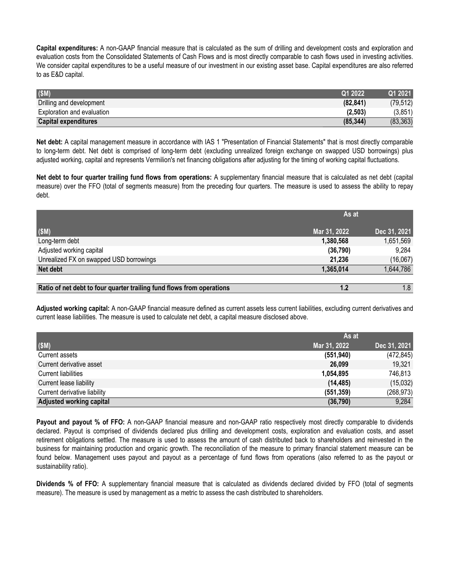**Capital expenditures:** A non-GAAP financial measure that is calculated as the sum of drilling and development costs and exploration and evaluation costs from the Consolidated Statements of Cash Flows and is most directly comparable to cash flows used in investing activities. We consider capital expenditures to be a useful measure of our investment in our existing asset base. Capital expenditures are also referred to as E&D capital.

| (SM)                        | O1 2022   | 2021      |
|-----------------------------|-----------|-----------|
| Drilling and development    | (82.841)  | (79.512)  |
| Exploration and evaluation  | (2,503)   | (3,851)   |
| <b>Capital expenditures</b> | (85, 344) | (83, 363) |

**Net debt:** A capital management measure in accordance with IAS 1 "Presentation of Financial Statements" that is most directly comparable to long-term debt. Net debt is comprised of long-term debt (excluding unrealized foreign exchange on swapped USD borrowings) plus adjusted working, capital and represents Vermilion's net financing obligations after adjusting for the timing of working capital fluctuations.

**Net debt to four quarter trailing fund flows from operations:** A supplementary financial measure that is calculated as net debt (capital measure) over the FFO (total of segments measure) from the preceding four quarters. The measure is used to assess the ability to repay debt.

|                                                                       | As at        |              |
|-----------------------------------------------------------------------|--------------|--------------|
| (SM)                                                                  | Mar 31, 2022 | Dec 31, 2021 |
| Long-term debt                                                        | 1,380,568    | 1,651,569    |
| Adjusted working capital                                              | (36, 790)    | 9,284        |
| Unrealized FX on swapped USD borrowings                               | 21,236       | (16,067)     |
| Net debt                                                              | 1,365,014    | 1,644,786    |
|                                                                       |              |              |
| Ratio of net debt to four quarter trailing fund flows from operations | 1.2          | 1.8          |

**Adjusted working capital:** A non-GAAP financial measure defined as current assets less current liabilities, excluding current derivatives and current lease liabilities. The measure is used to calculate net debt, a capital measure disclosed above.

|                              | As at        |              |
|------------------------------|--------------|--------------|
| (SM)                         | Mar 31, 2022 | Dec 31, 2021 |
| Current assets               | (551, 940)   | (472, 845)   |
| Current derivative asset     | 26,099       | 19,321       |
| <b>Current liabilities</b>   | 1,054,895    | 746,813      |
| Current lease liability      | (14, 485)    | (15,032)     |
| Current derivative liability | (551, 359)   | (268, 973)   |
| Adjusted working capital     | (36, 790)    | 9,284        |

**Payout and payout % of FFO:** A non-GAAP financial measure and non-GAAP ratio respectively most directly comparable to dividends declared. Payout is comprised of dividends declared plus drilling and development costs, exploration and evaluation costs, and asset retirement obligations settled. The measure is used to assess the amount of cash distributed back to shareholders and reinvested in the business for maintaining production and organic growth. The reconciliation of the measure to primary financial statement measure can be found below. Management uses payout and payout as a percentage of fund flows from operations (also referred to as the payout or sustainability ratio).

**Dividends % of FFO:** A supplementary financial measure that is calculated as dividends declared divided by FFO (total of segments measure). The measure is used by management as a metric to assess the cash distributed to shareholders.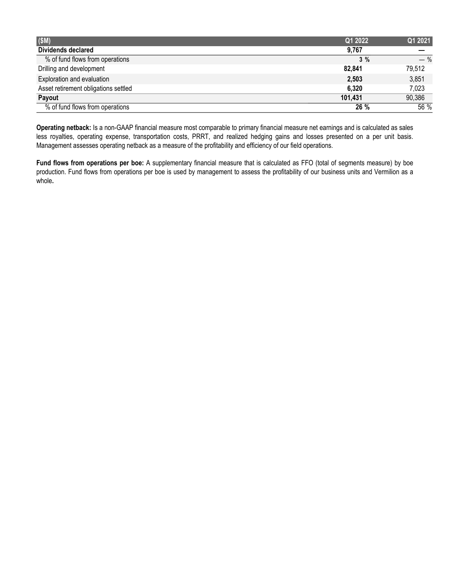| (SM)                                 | Q1 2022 | Q1 2021 |
|--------------------------------------|---------|---------|
| Dividends declared                   | 9.767   |         |
| % of fund flows from operations      | $3\%$   | $-$ %   |
| Drilling and development             | 82,841  | 79,512  |
| Exploration and evaluation           | 2,503   | 3,851   |
| Asset retirement obligations settled | 6,320   | 7,023   |
| Payout                               | 101,431 | 90,386  |
| % of fund flows from operations      | 26 %    | 56 %    |

**Operating netback:** Is a non-GAAP financial measure most comparable to primary financial measure net earnings and is calculated as sales less royalties, operating expense, transportation costs, PRRT, and realized hedging gains and losses presented on a per unit basis. Management assesses operating netback as a measure of the profitability and efficiency of our field operations.

**Fund flows from operations per boe:** A supplementary financial measure that is calculated as FFO (total of segments measure) by boe production. Fund flows from operations per boe is used by management to assess the profitability of our business units and Vermilion as a whole**.**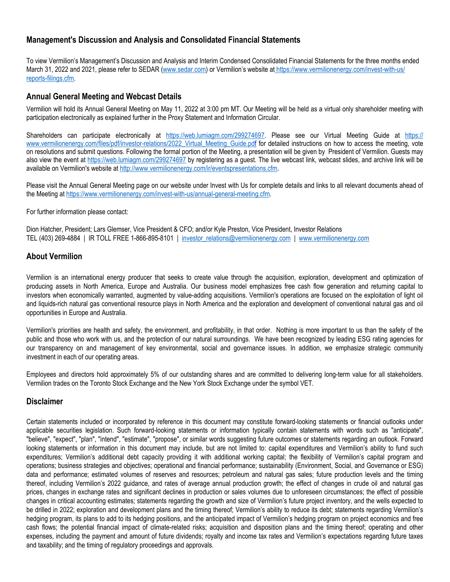## **Management's Discussion and Analysis and Consolidated Financial Statements**

To view Vermilion's Management's Discussion and Analysis and Interim Condensed Consolidated Financial Statements for the three months ended March 31, 2022 and 2021, please refer to SEDAR (www.sedar.com) or Vermilion's website at [https://www.vermilionenergy.com/invest-with-us/](https://www.vermilionenergy.com/invest-with-us/reports-filings.cfm) [reports-filings.cfm.](https://www.vermilionenergy.com/invest-with-us/reports-filings.cfm)

## **Annual General Meeting and Webcast Details**

Vermilion will hold its Annual General Meeting on May 11, 2022 at 3:00 pm MT. Our Meeting will be held as a virtual only shareholder meeting with participation electronically as explained further in the Proxy Statement and Information Circular.

Shareholders can participate electronically at https://web.lumiagm.com/299274697. Please see our Virtual Meeting Guide at [https://](https://can01.safelinks.protection.outlook.com/?url=https%3A%2F%2Fwww.vermilionenergy.com%2Ffiles%2Fpdf%2Finvestor-relations%2F2022_Virtual_Meeting_Guide.pdf&data=05%7C01%7Crandysmith%40vermilionenergy.com%7C5ee07934bbed4a06687008da2d297bbe%7C62e14f2dd68d4f70b073aadb783a61b9%7C0%7C0%7C637871953440747482%7CUnknown%7CTWFpbGZsb3d8eyJWIjoiMC4wLjAwMDAiLCJQIjoiV2luMzIiLCJBTiI6Ik1haWwiLCJXVCI6Mn0%3D%7C3000%7C%7C%7C&sdata=p1coxCfTe8OqNlrg316%2FbrRHao2TcC%2FDfhFLRnlP9jE%3D&reserved=0) [www.vermilionenergy.com/files/pdf/investor-relations/2022\\_Virtual\\_Meeting\\_Guide.pdf](https://can01.safelinks.protection.outlook.com/?url=https%3A%2F%2Fwww.vermilionenergy.com%2Ffiles%2Fpdf%2Finvestor-relations%2F2022_Virtual_Meeting_Guide.pdf&data=05%7C01%7Crandysmith%40vermilionenergy.com%7C5ee07934bbed4a06687008da2d297bbe%7C62e14f2dd68d4f70b073aadb783a61b9%7C0%7C0%7C637871953440747482%7CUnknown%7CTWFpbGZsb3d8eyJWIjoiMC4wLjAwMDAiLCJQIjoiV2luMzIiLCJBTiI6Ik1haWwiLCJXVCI6Mn0%3D%7C3000%7C%7C%7C&sdata=p1coxCfTe8OqNlrg316%2FbrRHao2TcC%2FDfhFLRnlP9jE%3D&reserved=0) for detailed instructions on how to access the meeting, vote on resolutions and submit questions. Following the formal portion of the Meeting, a presentation will be given by President of Vermilion. Guests may also view the event at https://web.lumiagm.com/299274697 by registering as a guest. The live webcast link, webcast slides, and archive link will be available on Vermilion's website at http://www.vermilionenergy.com/ir/eventspresentations.cfm.

Please visit the Annual General Meeting page on our website under Invest with Us for complete details and links to all relevant documents ahead of the Meeting at https://www.vermilionenergy.com/invest-with-us/annual-general-meeting.cfm.

#### For further information please contact:

Dion Hatcher, President; Lars Glemser, Vice President & CFO; and/or Kyle Preston, Vice President, Investor Relations TEL (403) 269-4884 | IR TOLL FREE 1-866-895-8101 | investor\_relations@vermilionenergy.com | www.vermilionenergy.com

## **About Vermilion**

Vermilion is an international energy producer that seeks to create value through the acquisition, exploration, development and optimization of producing assets in North America, Europe and Australia. Our business model emphasizes free cash flow generation and returning capital to investors when economically warranted, augmented by value-adding acquisitions. Vermilion's operations are focused on the exploitation of light oil and liquids-rich natural gas conventional resource plays in North America and the exploration and development of conventional natural gas and oil opportunities in Europe and Australia.

Vermilion's priorities are health and safety, the environment, and profitability, in that order. Nothing is more important to us than the safety of the public and those who work with us, and the protection of our natural surroundings. We have been recognized by leading ESG rating agencies for our transparency on and management of key environmental, social and governance issues. In addition, we emphasize strategic community investment in each of our operating areas.

Employees and directors hold approximately 5% of our outstanding shares and are committed to delivering long-term value for all stakeholders. Vermilion trades on the Toronto Stock Exchange and the New York Stock Exchange under the symbol VET.

## **Disclaimer**

Certain statements included or incorporated by reference in this document may constitute forward-looking statements or financial outlooks under applicable securities legislation. Such forward-looking statements or information typically contain statements with words such as "anticipate", "believe", "expect", "plan", "intend", "estimate", "propose", or similar words suggesting future outcomes or statements regarding an outlook. Forward looking statements or information in this document may include, but are not limited to: capital expenditures and Vermilion's ability to fund such expenditures; Vermilion's additional debt capacity providing it with additional working capital; the flexibility of Vermilion's capital program and operations; business strategies and objectives; operational and financial performance; sustainability (Environment, Social, and Governance or ESG) data and performance; estimated volumes of reserves and resources; petroleum and natural gas sales; future production levels and the timing thereof, including Vermilion's 2022 guidance, and rates of average annual production growth; the effect of changes in crude oil and natural gas prices, changes in exchange rates and significant declines in production or sales volumes due to unforeseen circumstances; the effect of possible changes in critical accounting estimates; statements regarding the growth and size of Vermilion's future project inventory, and the wells expected to be drilled in 2022; exploration and development plans and the timing thereof; Vermilion's ability to reduce its debt; statements regarding Vermilion's hedging program, its plans to add to its hedging positions, and the anticipated impact of Vermilion's hedging program on project economics and free cash flows; the potential financial impact of climate-related risks; acquisition and disposition plans and the timing thereof; operating and other expenses, including the payment and amount of future dividends; royalty and income tax rates and Vermilion's expectations regarding future taxes and taxability; and the timing of regulatory proceedings and approvals.